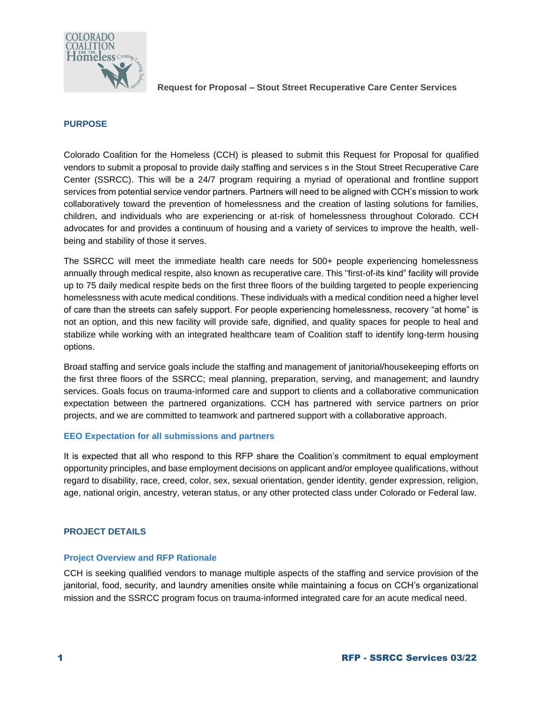

## **PURPOSE**

Colorado Coalition for the Homeless (CCH) is pleased to submit this Request for Proposal for qualified vendors to submit a proposal to provide daily staffing and services s in the Stout Street Recuperative Care Center (SSRCC). This will be a 24/7 program requiring a myriad of operational and frontline support services from potential service vendor partners. Partners will need to be aligned with CCH's mission to work collaboratively toward the prevention of homelessness and the creation of lasting solutions for families, children, and individuals who are experiencing or at-risk of homelessness throughout Colorado. CCH advocates for and provides a continuum of housing and a variety of services to improve the health, wellbeing and stability of those it serves.

The SSRCC will meet the immediate health care needs for 500+ people experiencing homelessness annually through medical respite, also known as recuperative care. This "first-of-its kind" facility will provide up to 75 daily medical respite beds on the first three floors of the building targeted to people experiencing homelessness with acute medical conditions. These individuals with a medical condition need a higher level of care than the streets can safely support. For people experiencing homelessness, recovery "at home" is not an option, and this new facility will provide safe, dignified, and quality spaces for people to heal and stabilize while working with an integrated healthcare team of Coalition staff to identify long-term housing options.

Broad staffing and service goals include the staffing and management of janitorial/housekeeping efforts on the first three floors of the SSRCC; meal planning, preparation, serving, and management; and laundry services. Goals focus on trauma-informed care and support to clients and a collaborative communication expectation between the partnered organizations. CCH has partnered with service partners on prior projects, and we are committed to teamwork and partnered support with a collaborative approach.

### **EEO Expectation for all submissions and partners**

It is expected that all who respond to this RFP share the Coalition's commitment to equal employment opportunity principles, and base employment decisions on applicant and/or employee qualifications, without regard to disability, race, creed, color, sex, sexual orientation, gender identity, gender expression, religion, age, national origin, ancestry, veteran status, or any other protected class under Colorado or Federal law.

# **PROJECT DETAILS**

### **Project Overview and RFP Rationale**

CCH is seeking qualified vendors to manage multiple aspects of the staffing and service provision of the janitorial, food, security, and laundry amenities onsite while maintaining a focus on CCH's organizational mission and the SSRCC program focus on trauma-informed integrated care for an acute medical need.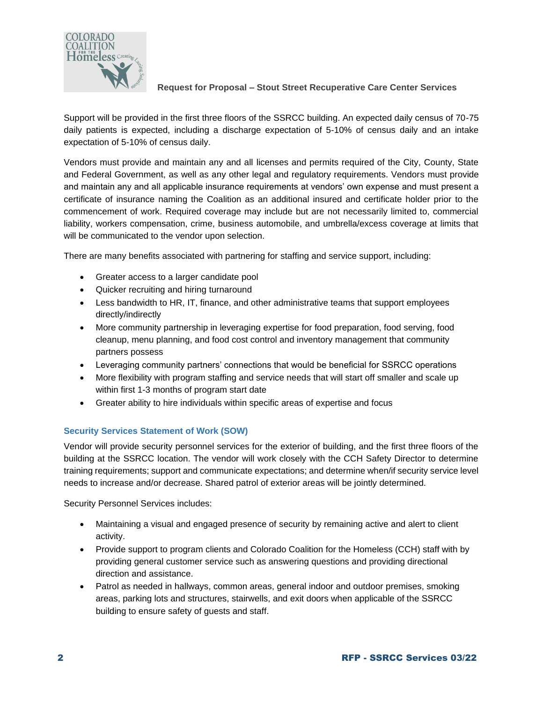

Support will be provided in the first three floors of the SSRCC building. An expected daily census of 70-75 daily patients is expected, including a discharge expectation of 5-10% of census daily and an intake expectation of 5-10% of census daily.

Vendors must provide and maintain any and all licenses and permits required of the City, County, State and Federal Government, as well as any other legal and regulatory requirements. Vendors must provide and maintain any and all applicable insurance requirements at vendors' own expense and must present a certificate of insurance naming the Coalition as an additional insured and certificate holder prior to the commencement of work. Required coverage may include but are not necessarily limited to, commercial liability, workers compensation, crime, business automobile, and umbrella/excess coverage at limits that will be communicated to the vendor upon selection.

There are many benefits associated with partnering for staffing and service support, including:

- Greater access to a larger candidate pool
- Quicker recruiting and hiring turnaround
- Less bandwidth to HR, IT, finance, and other administrative teams that support employees directly/indirectly
- More community partnership in leveraging expertise for food preparation, food serving, food cleanup, menu planning, and food cost control and inventory management that community partners possess
- Leveraging community partners' connections that would be beneficial for SSRCC operations
- More flexibility with program staffing and service needs that will start off smaller and scale up within first 1-3 months of program start date
- Greater ability to hire individuals within specific areas of expertise and focus

# **Security Services Statement of Work (SOW)**

Vendor will provide security personnel services for the exterior of building, and the first three floors of the building at the SSRCC location. The vendor will work closely with the CCH Safety Director to determine training requirements; support and communicate expectations; and determine when/if security service level needs to increase and/or decrease. Shared patrol of exterior areas will be jointly determined.

Security Personnel Services includes:

- Maintaining a visual and engaged presence of security by remaining active and alert to client activity.
- Provide support to program clients and Colorado Coalition for the Homeless (CCH) staff with by providing general customer service such as answering questions and providing directional direction and assistance.
- Patrol as needed in hallways, common areas, general indoor and outdoor premises, smoking areas, parking lots and structures, stairwells, and exit doors when applicable of the SSRCC building to ensure safety of guests and staff.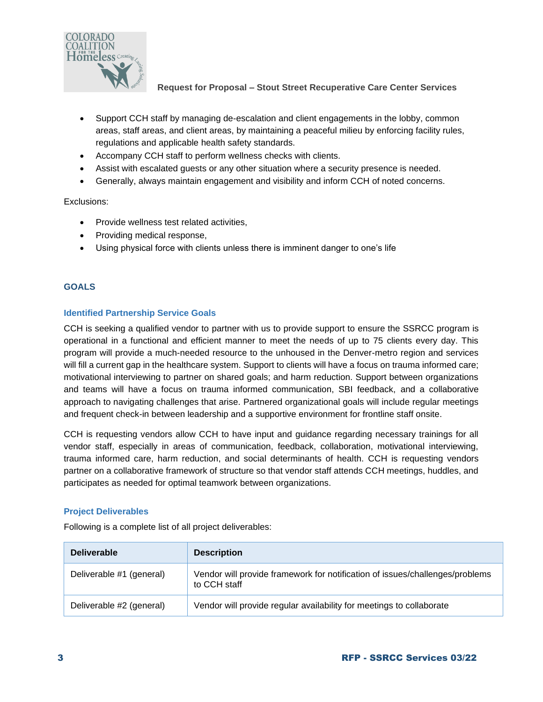

- Support CCH staff by managing de-escalation and client engagements in the lobby, common areas, staff areas, and client areas, by maintaining a peaceful milieu by enforcing facility rules, regulations and applicable health safety standards.
- Accompany CCH staff to perform wellness checks with clients.
- Assist with escalated guests or any other situation where a security presence is needed.
- Generally, always maintain engagement and visibility and inform CCH of noted concerns.

Exclusions:

- Provide wellness test related activities,
- Providing medical response,
- Using physical force with clients unless there is imminent danger to one's life

# **GOALS**

## **Identified Partnership Service Goals**

CCH is seeking a qualified vendor to partner with us to provide support to ensure the SSRCC program is operational in a functional and efficient manner to meet the needs of up to 75 clients every day. This program will provide a much-needed resource to the unhoused in the Denver-metro region and services will fill a current gap in the healthcare system. Support to clients will have a focus on trauma informed care; motivational interviewing to partner on shared goals; and harm reduction. Support between organizations and teams will have a focus on trauma informed communication, SBI feedback, and a collaborative approach to navigating challenges that arise. Partnered organizational goals will include regular meetings and frequent check-in between leadership and a supportive environment for frontline staff onsite.

CCH is requesting vendors allow CCH to have input and guidance regarding necessary trainings for all vendor staff, especially in areas of communication, feedback, collaboration, motivational interviewing, trauma informed care, harm reduction, and social determinants of health. CCH is requesting vendors partner on a collaborative framework of structure so that vendor staff attends CCH meetings, huddles, and participates as needed for optimal teamwork between organizations.

### **Project Deliverables**

Following is a complete list of all project deliverables:

| <b>Deliverable</b>       | <b>Description</b>                                                                           |
|--------------------------|----------------------------------------------------------------------------------------------|
| Deliverable #1 (general) | Vendor will provide framework for notification of issues/challenges/problems<br>to CCH staff |
| Deliverable #2 (general) | Vendor will provide regular availability for meetings to collaborate                         |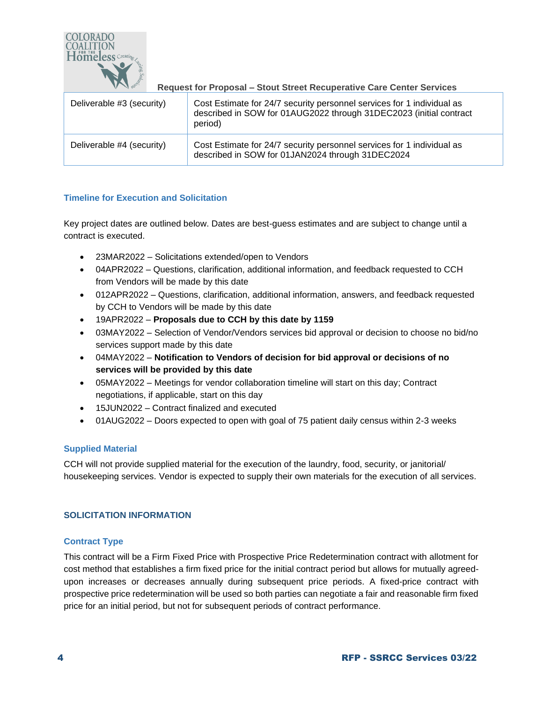

| Deliverable #3 (security) | Cost Estimate for 24/7 security personnel services for 1 individual as<br>described in SOW for 01AUG2022 through 31DEC2023 (initial contract<br>period) |
|---------------------------|---------------------------------------------------------------------------------------------------------------------------------------------------------|
| Deliverable #4 (security) | Cost Estimate for 24/7 security personnel services for 1 individual as<br>described in SOW for 01JAN2024 through 31DEC2024                              |

# **Timeline for Execution and Solicitation**

Key project dates are outlined below. Dates are best-guess estimates and are subject to change until a contract is executed.

- 23MAR2022 Solicitations extended/open to Vendors
- 04APR2022 Questions, clarification, additional information, and feedback requested to CCH from Vendors will be made by this date
- 012APR2022 Questions, clarification, additional information, answers, and feedback requested by CCH to Vendors will be made by this date
- 19APR2022 **Proposals due to CCH by this date by 1159**
- 03MAY2022 Selection of Vendor/Vendors services bid approval or decision to choose no bid/no services support made by this date
- 04MAY2022 **Notification to Vendors of decision for bid approval or decisions of no services will be provided by this date**
- 05MAY2022 Meetings for vendor collaboration timeline will start on this day; Contract negotiations, if applicable, start on this day
- 15JUN2022 Contract finalized and executed
- 01AUG2022 Doors expected to open with goal of 75 patient daily census within 2-3 weeks

# **Supplied Material**

CCH will not provide supplied material for the execution of the laundry, food, security, or janitorial/ housekeeping services. Vendor is expected to supply their own materials for the execution of all services.

# **SOLICITATION INFORMATION**

# **Contract Type**

This contract will be a Firm Fixed Price with Prospective Price Redetermination contract with allotment for cost method that establishes a firm fixed price for the initial contract period but allows for mutually agreedupon increases or decreases annually during subsequent price periods. A fixed-price contract with prospective price redetermination will be used so both parties can negotiate a fair and reasonable firm fixed price for an initial period, but not for subsequent periods of contract performance.